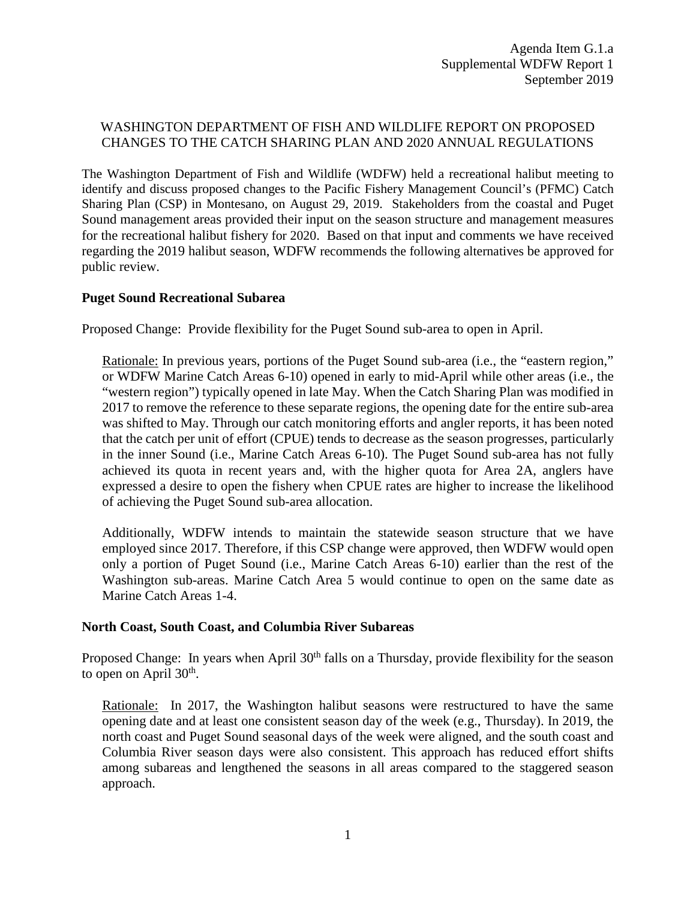## WASHINGTON DEPARTMENT OF FISH AND WILDLIFE REPORT ON PROPOSED CHANGES TO THE CATCH SHARING PLAN AND 2020 ANNUAL REGULATIONS

The Washington Department of Fish and Wildlife (WDFW) held a recreational halibut meeting to identify and discuss proposed changes to the Pacific Fishery Management Council's (PFMC) Catch Sharing Plan (CSP) in Montesano, on August 29, 2019. Stakeholders from the coastal and Puget Sound management areas provided their input on the season structure and management measures for the recreational halibut fishery for 2020. Based on that input and comments we have received regarding the 2019 halibut season, WDFW recommends the following alternatives be approved for public review.

## **Puget Sound Recreational Subarea**

Proposed Change: Provide flexibility for the Puget Sound sub-area to open in April.

Rationale: In previous years, portions of the Puget Sound sub-area (i.e., the "eastern region," or WDFW Marine Catch Areas 6-10) opened in early to mid-April while other areas (i.e., the "western region") typically opened in late May. When the Catch Sharing Plan was modified in 2017 to remove the reference to these separate regions, the opening date for the entire sub-area was shifted to May. Through our catch monitoring efforts and angler reports, it has been noted that the catch per unit of effort (CPUE) tends to decrease as the season progresses, particularly in the inner Sound (i.e., Marine Catch Areas 6-10). The Puget Sound sub-area has not fully achieved its quota in recent years and, with the higher quota for Area 2A, anglers have expressed a desire to open the fishery when CPUE rates are higher to increase the likelihood of achieving the Puget Sound sub-area allocation.

Additionally, WDFW intends to maintain the statewide season structure that we have employed since 2017. Therefore, if this CSP change were approved, then WDFW would open only a portion of Puget Sound (i.e., Marine Catch Areas 6-10) earlier than the rest of the Washington sub-areas. Marine Catch Area 5 would continue to open on the same date as Marine Catch Areas 1-4.

## **North Coast, South Coast, and Columbia River Subareas**

Proposed Change: In years when April 30<sup>th</sup> falls on a Thursday, provide flexibility for the season to open on April  $30<sup>th</sup>$ .

Rationale: In 2017, the Washington halibut seasons were restructured to have the same opening date and at least one consistent season day of the week (e.g., Thursday). In 2019, the north coast and Puget Sound seasonal days of the week were aligned, and the south coast and Columbia River season days were also consistent. This approach has reduced effort shifts among subareas and lengthened the seasons in all areas compared to the staggered season approach.